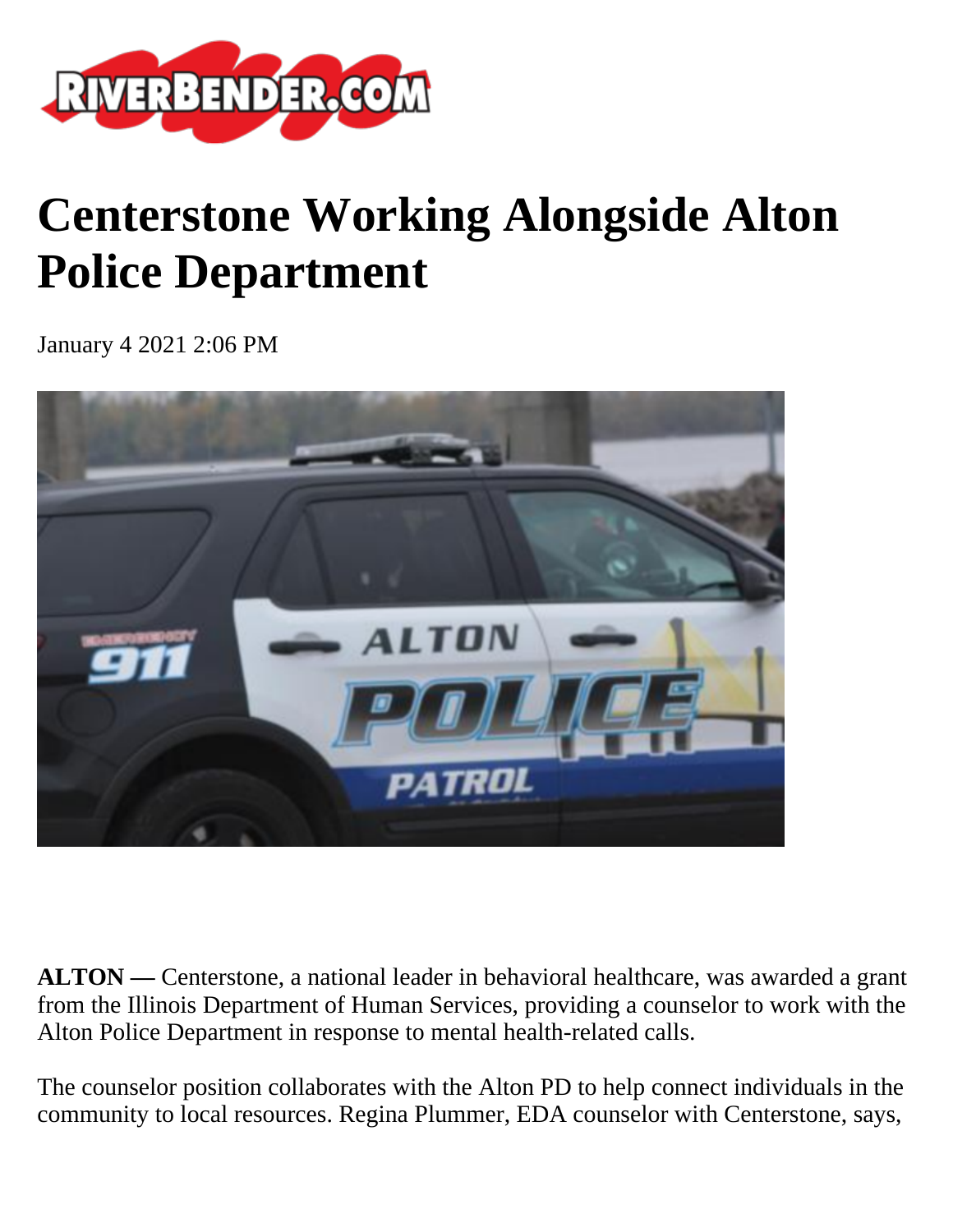

## **Centerstone Working Alongside Alton Police Department**

January 4 2021 2:06 PM



**ALTON —** Centerstone, a national leader in behavioral healthcare, was awarded a grant from the Illinois Department of Human Services, providing a counselor to work with the Alton Police Department in response to mental health-related calls.

The counselor position collaborates with the Alton PD to help connect individuals in the community to local resources. Regina Plummer, EDA counselor with Centerstone, says,